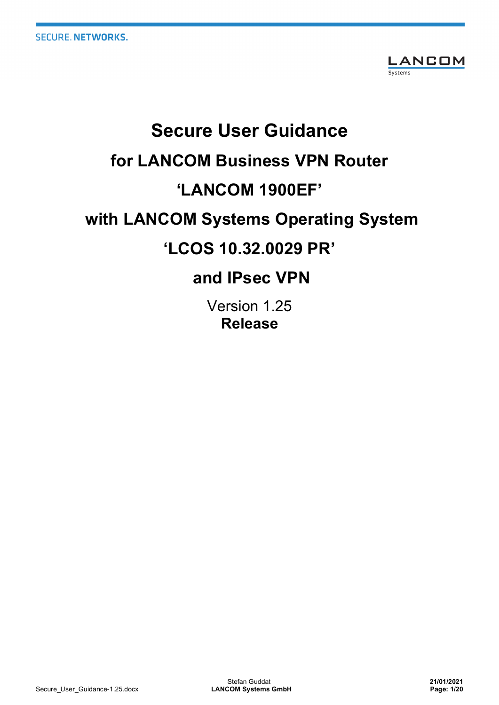

# **Secure User Guidance for LANCOM Business VPN Router 'LANCOM 1900EF' with LANCOM Systems Operating System 'LCOS 10.32.0029 PR' and IPsec VPN**

# Version 1.25

**Release**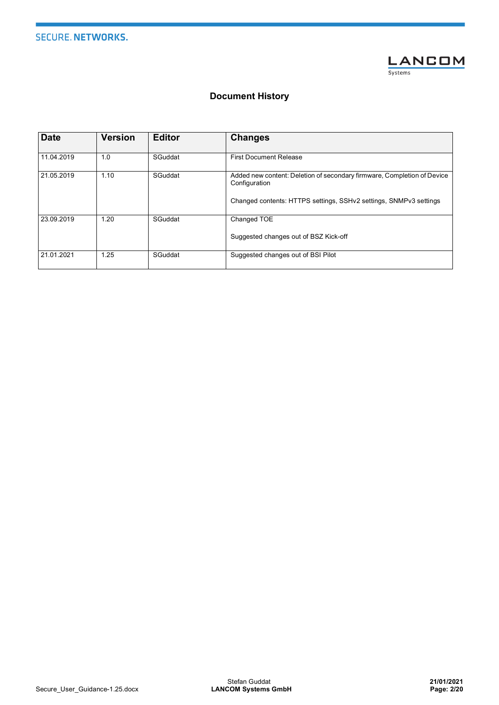

## **Document History**

| <b>Date</b> | <b>Version</b> | <b>Editor</b> | <b>Changes</b>                                                                                                                                                |
|-------------|----------------|---------------|---------------------------------------------------------------------------------------------------------------------------------------------------------------|
| 11.04.2019  | 1.0            | SGuddat       | <b>First Document Release</b>                                                                                                                                 |
| 21.05.2019  | 1.10           | SGuddat       | Added new content: Deletion of secondary firmware, Completion of Device<br>Configuration<br>Changed contents: HTTPS settings, SSHv2 settings, SNMPv3 settings |
| 23.09.2019  | 1.20           | SGuddat       | Changed TOE<br>Suggested changes out of BSZ Kick-off                                                                                                          |
| 21.01.2021  | 1.25           | SGuddat       | Suggested changes out of BSI Pilot                                                                                                                            |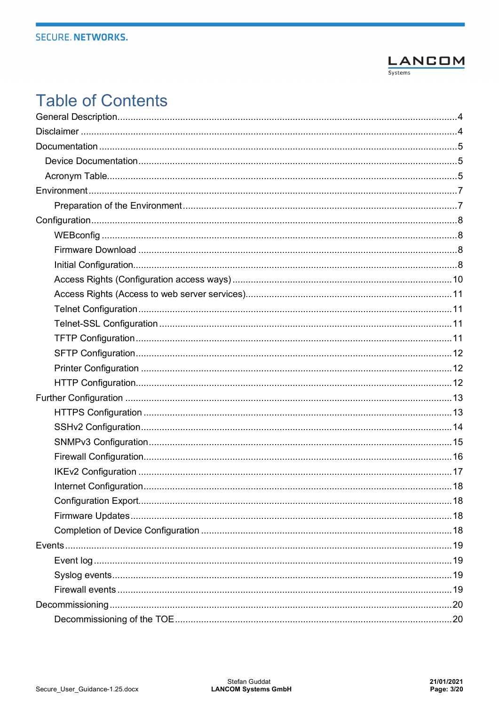

# **Table of Contents**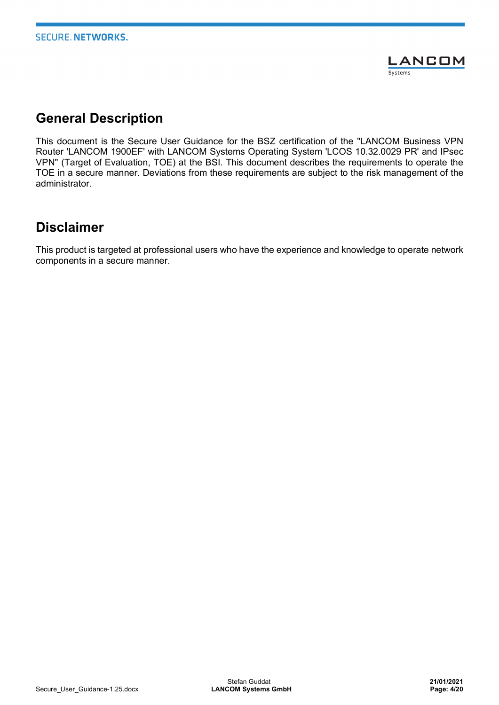

# **General Description**

This document is the Secure User Guidance for the BSZ certification of the "LANCOM Business VPN Router 'LANCOM 1900EF' with LANCOM Systems Operating System 'LCOS 10.32.0029 PR' and IPsec VPN" (Target of Evaluation, TOE) at the BSI. This document describes the requirements to operate the TOE in a secure manner. Deviations from these requirements are subject to the risk management of the administrator.

# **Disclaimer**

This product is targeted at professional users who have the experience and knowledge to operate network components in a secure manner.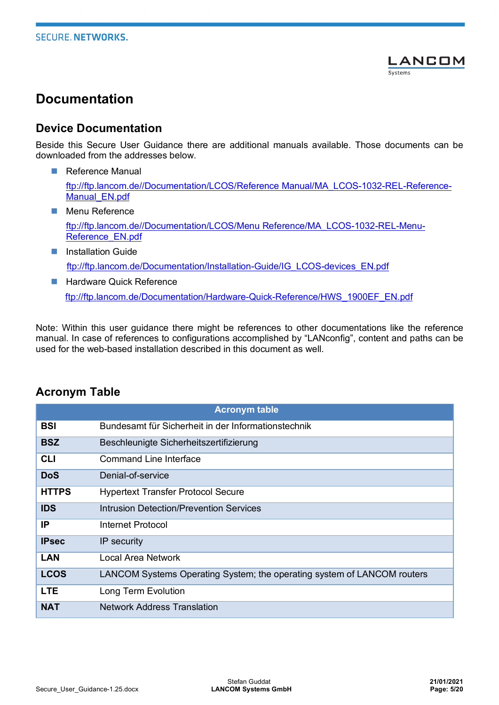

# **Documentation**

## **Device Documentation**

Beside this Secure User Guidance there are additional manuals available. Those documents can be downloaded from the addresses below.

- **n** Reference Manual ftp://ftp.lancom.de//Documentation/LCOS/Reference Manual/MA\_LCOS-1032-REL-Reference-Manual\_EN.pdf
- **Nenu Reference**

ftp://ftp.lancom.de//Documentation/LCOS/Menu Reference/MA\_LCOS-1032-REL-Menu-Reference EN.pdf

- **n** Installation Guide ftp://ftp.lancom.de/Documentation/Installation-Guide/IG\_LCOS-devices\_EN.pdf
- **n** Hardware Quick Reference ftp://ftp.lancom.de/Documentation/Hardware-Quick-Reference/HWS\_1900EF\_EN.pdf

Note: Within this user guidance there might be references to other documentations like the reference manual. In case of references to configurations accomplished by "LANconfig", content and paths can be used for the web-based installation described in this document as well.

|              | <b>Acronym table</b>                                                    |
|--------------|-------------------------------------------------------------------------|
| <b>BSI</b>   | Bundesamt für Sicherheit in der Informationstechnik                     |
| <b>BSZ</b>   | Beschleunigte Sicherheitszertifizierung                                 |
| <b>CLI</b>   | <b>Command Line Interface</b>                                           |
| <b>DoS</b>   | Denial-of-service                                                       |
| <b>HTTPS</b> | <b>Hypertext Transfer Protocol Secure</b>                               |
| <b>IDS</b>   | Intrusion Detection/Prevention Services                                 |
| IP           | Internet Protocol                                                       |
| <b>IPsec</b> | IP security                                                             |
| <b>LAN</b>   | Local Area Network                                                      |
| <b>LCOS</b>  | LANCOM Systems Operating System; the operating system of LANCOM routers |
| <b>LTE</b>   | Long Term Evolution                                                     |
| <b>NAT</b>   | <b>Network Address Translation</b>                                      |

# **Acronym Table**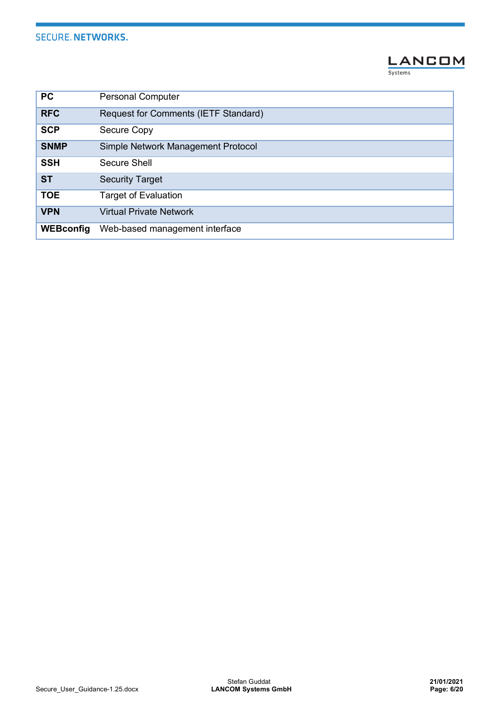

| <b>PC</b>        | <b>Personal Computer</b>             |
|------------------|--------------------------------------|
| <b>RFC</b>       | Request for Comments (IETF Standard) |
| <b>SCP</b>       | Secure Copy                          |
| <b>SNMP</b>      | Simple Network Management Protocol   |
| <b>SSH</b>       | Secure Shell                         |
| <b>ST</b>        | <b>Security Target</b>               |
| <b>TOE</b>       | <b>Target of Evaluation</b>          |
| <b>VPN</b>       | <b>Virtual Private Network</b>       |
| <b>WEBconfig</b> | Web-based management interface       |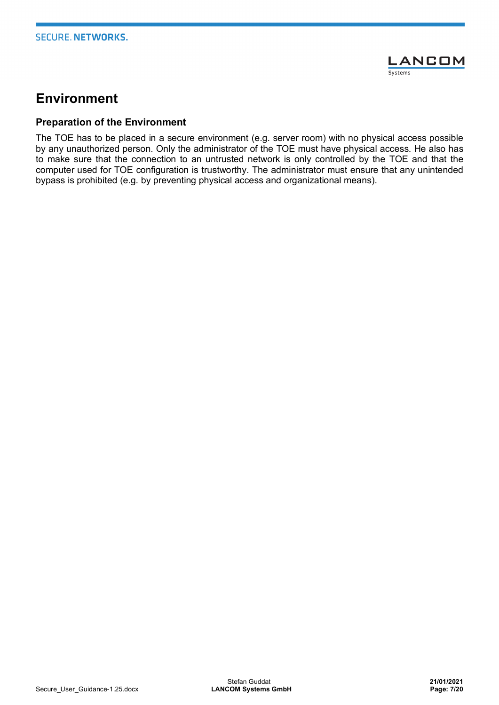

# **Environment**

#### **Preparation of the Environment**

The TOE has to be placed in a secure environment (e.g. server room) with no physical access possible by any unauthorized person. Only the administrator of the TOE must have physical access. He also has to make sure that the connection to an untrusted network is only controlled by the TOE and that the computer used for TOE configuration is trustworthy. The administrator must ensure that any unintended bypass is prohibited (e.g. by preventing physical access and organizational means).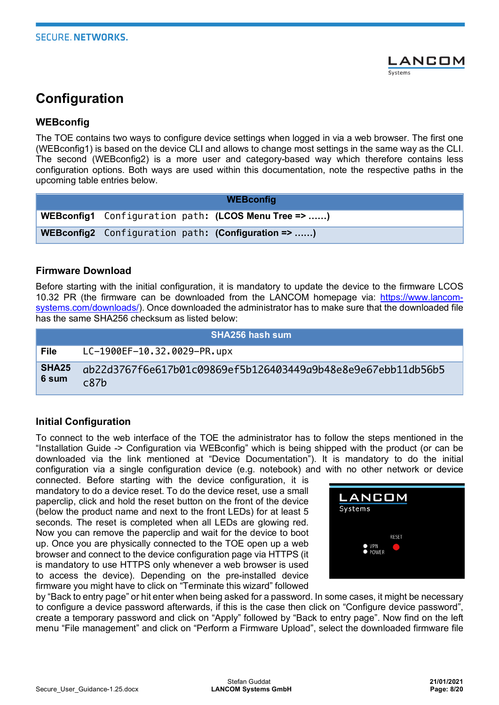

# **Configuration**

#### **WEBconfig**

The TOE contains two ways to configure device settings when logged in via a web browser. The first one (WEBconfig1) is based on the device CLI and allows to change most settings in the same way as the CLI. The second (WEBconfig2) is a more user and category-based way which therefore contains less configuration options. Both ways are used within this documentation, note the respective paths in the upcoming table entries below.

| <b>WEBconfig</b> |  |  |                                                     |
|------------------|--|--|-----------------------------------------------------|
|                  |  |  | WEBconfig1 Configuration path: (LCOS Menu Tree => ) |
|                  |  |  | WEBconfig2 Configuration path: (Configuration => )  |

#### **Firmware Download**

Before starting with the initial configuration, it is mandatory to update the device to the firmware LCOS 10.32 PR (the firmware can be downloaded from the LANCOM homepage via: https://www.lancomsystems.com/downloads/). Once downloaded the administrator has to make sure that the downloaded file has the same SHA256 checksum as listed below:

|                         | <b>SHA256 hash sum</b>                                               |
|-------------------------|----------------------------------------------------------------------|
| File                    | LC-1900EF-10.32.0029-PR.upx                                          |
| <b>SHA25</b><br>∣ 6 sum | ab22d3767f6e617b01c09869ef5b126403449a9b48e8e9e67ebb11db56b5<br>c87h |

#### **Initial Configuration**

To connect to the web interface of the TOE the administrator has to follow the steps mentioned in the "Installation Guide -> Configuration via WEBconfig" which is being shipped with the product (or can be downloaded via the link mentioned at "Device Documentation"). It is mandatory to do the initial configuration via a single configuration device (e.g. notebook) and with no other network or device

connected. Before starting with the device configuration, it is mandatory to do a device reset. To do the device reset, use a small paperclip, click and hold the reset button on the front of the device (below the product name and next to the front LEDs) for at least 5 seconds. The reset is completed when all LEDs are glowing red. Now you can remove the paperclip and wait for the device to boot up. Once you are physically connected to the TOE open up a web browser and connect to the device configuration page via HTTPS (it is mandatory to use HTTPS only whenever a web browser is used to access the device). Depending on the pre-installed device firmware you might have to click on "Terminate this wizard" followed



by "Back to entry page" or hit enter when being asked for a password. In some cases, it might be necessary to configure a device password afterwards, if this is the case then click on "Configure device password", create a temporary password and click on "Apply" followed by "Back to entry page". Now find on the left menu "File management" and click on "Perform a Firmware Upload", select the downloaded firmware file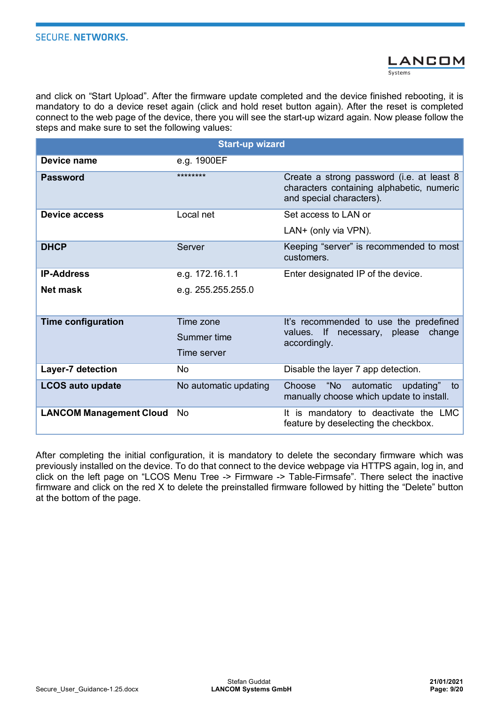

and click on "Start Upload". After the firmware update completed and the device finished rebooting, it is mandatory to do a device reset again (click and hold reset button again). After the reset is completed connect to the web page of the device, there you will see the start-up wizard again. Now please follow the steps and make sure to set the following values:

|                                | <b>Start-up wizard</b> |                                                                                                                    |
|--------------------------------|------------------------|--------------------------------------------------------------------------------------------------------------------|
| Device name                    | e.g. 1900EF            |                                                                                                                    |
| <b>Password</b>                | ********               | Create a strong password (i.e. at least 8<br>characters containing alphabetic, numeric<br>and special characters). |
| Device access                  | Local net              | Set access to LAN or                                                                                               |
|                                |                        | LAN+ (only via VPN).                                                                                               |
| <b>DHCP</b>                    | Server                 | Keeping "server" is recommended to most<br>customers.                                                              |
| <b>IP-Address</b>              | e.g. 172.16.1.1        | Enter designated IP of the device.                                                                                 |
| Net mask                       | e.g. 255.255.255.0     |                                                                                                                    |
|                                |                        |                                                                                                                    |
| <b>Time configuration</b>      | Time zone              | It's recommended to use the predefined                                                                             |
|                                | Summer time            | values. If<br>necessary, please change<br>accordingly.                                                             |
|                                | Time server            |                                                                                                                    |
| Layer-7 detection              | No.                    | Disable the layer 7 app detection.                                                                                 |
| <b>LCOS auto update</b>        | No automatic updating  | "No<br>automatic<br>Choose<br>updating"<br>to<br>manually choose which update to install.                          |
| <b>LANCOM Management Cloud</b> | No.                    | It is mandatory to deactivate the LMC<br>feature by deselecting the checkbox.                                      |

After completing the initial configuration, it is mandatory to delete the secondary firmware which was previously installed on the device. To do that connect to the device webpage via HTTPS again, log in, and click on the left page on "LCOS Menu Tree -> Firmware -> Table-Firmsafe". There select the inactive firmware and click on the red X to delete the preinstalled firmware followed by hitting the "Delete" button at the bottom of the page.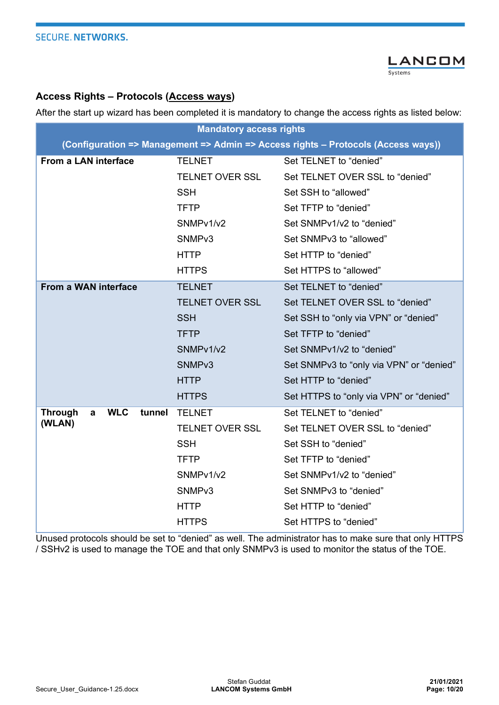

### **Access Rights – Protocols (Access ways)**

After the start up wizard has been completed it is mandatory to change the access rights as listed below:

| <b>Mandatory access rights</b>                         |                        |                                                                                   |  |
|--------------------------------------------------------|------------------------|-----------------------------------------------------------------------------------|--|
|                                                        |                        | (Configuration => Management => Admin => Access rights - Protocols (Access ways)) |  |
| From a LAN interface                                   | <b>TELNET</b>          | Set TELNET to "denied"                                                            |  |
|                                                        | <b>TELNET OVER SSL</b> | Set TELNET OVER SSL to "denied"                                                   |  |
|                                                        | <b>SSH</b>             | Set SSH to "allowed"                                                              |  |
|                                                        | <b>TFTP</b>            | Set TFTP to "denied"                                                              |  |
|                                                        | SNMPv1/v2              | Set SNMPv1/v2 to "denied"                                                         |  |
|                                                        | SNMP <sub>v3</sub>     | Set SNMPv3 to "allowed"                                                           |  |
|                                                        | <b>HTTP</b>            | Set HTTP to "denied"                                                              |  |
|                                                        | <b>HTTPS</b>           | Set HTTPS to "allowed"                                                            |  |
| From a WAN interface                                   | <b>TELNET</b>          | Set TELNET to "denied"                                                            |  |
|                                                        | <b>TELNET OVER SSL</b> | Set TELNET OVER SSL to "denied"                                                   |  |
|                                                        | <b>SSH</b>             | Set SSH to "only via VPN" or "denied"                                             |  |
|                                                        | <b>TFTP</b>            | Set TFTP to "denied"                                                              |  |
|                                                        | SNMPv1/v2              | Set SNMPv1/v2 to "denied"                                                         |  |
|                                                        | SNMP <sub>v3</sub>     | Set SNMPv3 to "only via VPN" or "denied"                                          |  |
|                                                        | <b>HTTP</b>            | Set HTTP to "denied"                                                              |  |
|                                                        | <b>HTTPS</b>           | Set HTTPS to "only via VPN" or "denied"                                           |  |
| <b>WLC</b><br><b>Through</b><br>tunnel<br>$\mathbf{a}$ | <b>TELNET</b>          | Set TELNET to "denied"                                                            |  |
| (WLAN)                                                 | <b>TELNET OVER SSL</b> | Set TELNET OVER SSL to "denied"                                                   |  |
|                                                        | <b>SSH</b>             | Set SSH to "denied"                                                               |  |
|                                                        | <b>TFTP</b>            | Set TFTP to "denied"                                                              |  |
|                                                        | SNMPv1/v2              | Set SNMPv1/v2 to "denied"                                                         |  |
|                                                        | SNMP <sub>v3</sub>     | Set SNMPv3 to "denied"                                                            |  |
|                                                        | <b>HTTP</b>            | Set HTTP to "denied"                                                              |  |
|                                                        | <b>HTTPS</b>           | Set HTTPS to "denied"                                                             |  |

Unused protocols should be set to "denied" as well. The administrator has to make sure that only HTTPS / SSHv2 is used to manage the TOE and that only SNMPv3 is used to monitor the status of the TOE.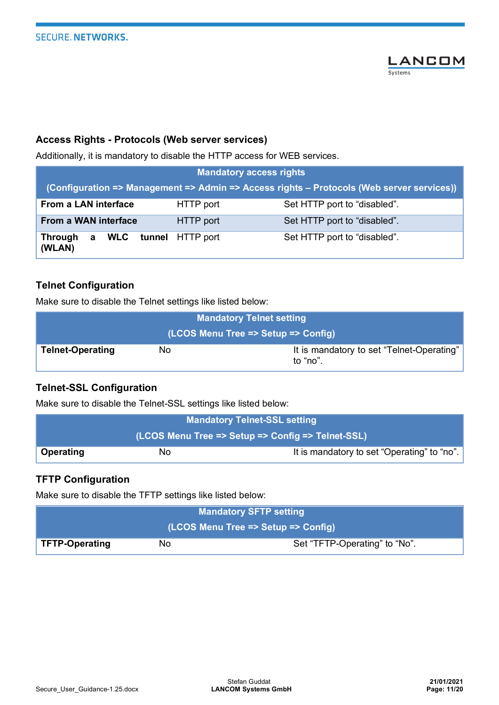

#### **Access Rights - Protocols (Web server services)**

Additionally, it is mandatory to disable the HTTP access for WEB services.

| <b>Mandatory access rights</b>                                                            |           |                              |  |
|-------------------------------------------------------------------------------------------|-----------|------------------------------|--|
| (Configuration => Management => Admin => Access rights - Protocols (Web server services)) |           |                              |  |
| From a LAN interface                                                                      | HTTP port | Set HTTP port to "disabled". |  |
| <b>From a WAN interface</b>                                                               | HTTP port | Set HTTP port to "disabled". |  |
| Through a WLC tunnel HTTP port<br>(WLAN)                                                  |           | Set HTTP port to "disabled". |  |

#### **Telnet Configuration**

Make sure to disable the Telnet settings like listed below:

| <b>Mandatory Telnet setting</b>     |    |                                                       |  |
|-------------------------------------|----|-------------------------------------------------------|--|
| (LCOS Menu Tree => Setup => Config) |    |                                                       |  |
| <b>Telnet-Operating</b>             | No | It is mandatory to set "Telnet-Operating"<br>to "no". |  |

## **Telnet-SSL Configuration**

Make sure to disable the Telnet-SSL settings like listed below:

| <b>Mandatory Telnet-SSL setting</b>               |    |                                             |  |
|---------------------------------------------------|----|---------------------------------------------|--|
| (LCOS Menu Tree => Setup => Config => Telnet-SSL) |    |                                             |  |
| <b>Operating</b>                                  | No | It is mandatory to set "Operating" to "no". |  |

## **TFTP Configuration**

Make sure to disable the TFTP settings like listed below:

| <b>Mandatory SFTP setting</b>       |    |                               |
|-------------------------------------|----|-------------------------------|
| (LCOS Menu Tree => Setup => Config) |    |                               |
| <b>TFTP-Operating</b>               | No | Set "TFTP-Operating" to "No". |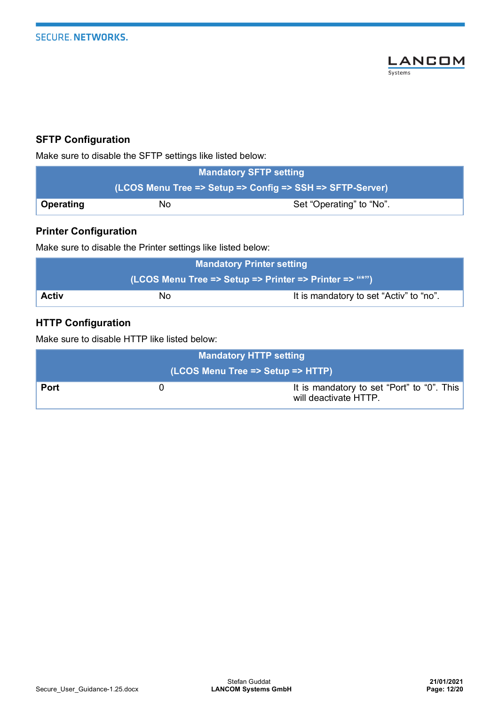

## **SFTP Configuration**

Make sure to disable the SFTP settings like listed below:

| <b>Mandatory SFTP setting</b>                             |    |                          |  |
|-----------------------------------------------------------|----|--------------------------|--|
| (LCOS Menu Tree => Setup => Config => SSH => SFTP-Server) |    |                          |  |
| Operating                                                 | No | Set "Operating" to "No". |  |

## **Printer Configuration**

Make sure to disable the Printer settings like listed below:

| <b>Mandatory Printer setting</b>                       |    |                                         |  |
|--------------------------------------------------------|----|-----------------------------------------|--|
| (LCOS Menu Tree => Setup => Printer => Printer => "*") |    |                                         |  |
| Activ                                                  | Nο | It is mandatory to set "Activ" to "no". |  |

# **HTTP Configuration**

Make sure to disable HTTP like listed below:

| <b>Mandatory HTTP setting</b>     |  |                                                                     |
|-----------------------------------|--|---------------------------------------------------------------------|
| (LCOS Menu Tree => Setup => HTTP) |  |                                                                     |
| <b>Port</b>                       |  | It is mandatory to set "Port" to "0". This<br>will deactivate HTTP. |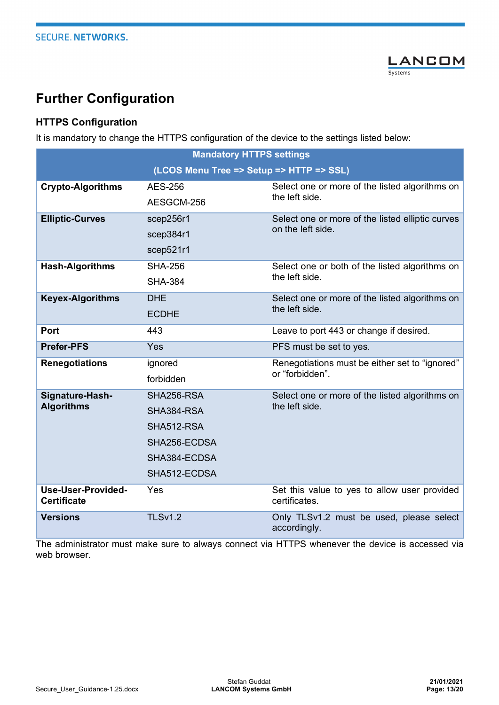

# **Further Configuration**

# **HTTPS Configuration**

It is mandatory to change the HTTPS configuration of the device to the settings listed below:

| <b>Mandatory HTTPS settings</b>          |                |                                                                  |  |
|------------------------------------------|----------------|------------------------------------------------------------------|--|
| (LCOS Menu Tree => Setup => HTTP => SSL) |                |                                                                  |  |
| <b>Crypto-Algorithms</b>                 | <b>AES-256</b> | Select one or more of the listed algorithms on                   |  |
|                                          | AESGCM-256     | the left side.                                                   |  |
| <b>Elliptic-Curves</b>                   | scep256r1      | Select one or more of the listed elliptic curves                 |  |
|                                          | scep384r1      | on the left side.                                                |  |
|                                          | scep521r1      |                                                                  |  |
| <b>Hash-Algorithms</b>                   | <b>SHA-256</b> | Select one or both of the listed algorithms on                   |  |
|                                          | <b>SHA-384</b> | the left side.                                                   |  |
| <b>Keyex-Algorithms</b>                  | <b>DHE</b>     | Select one or more of the listed algorithms on                   |  |
|                                          | <b>ECDHE</b>   | the left side.                                                   |  |
| Port                                     | 443            | Leave to port 443 or change if desired.                          |  |
| <b>Prefer-PFS</b>                        | Yes            | PFS must be set to yes.                                          |  |
| <b>Renegotiations</b>                    | ignored        | Renegotiations must be either set to "ignored"                   |  |
|                                          | forbidden      | or "forbidden".                                                  |  |
| Signature-Hash-                          | SHA256-RSA     | Select one or more of the listed algorithms on<br>the left side. |  |
| <b>Algorithms</b>                        | SHA384-RSA     |                                                                  |  |
|                                          | SHA512-RSA     |                                                                  |  |
|                                          | SHA256-ECDSA   |                                                                  |  |
|                                          | SHA384-ECDSA   |                                                                  |  |
|                                          | SHA512-ECDSA   |                                                                  |  |
| Use-User-Provided-<br><b>Certificate</b> | Yes            | Set this value to yes to allow user provided<br>certificates.    |  |
| <b>Versions</b>                          | <b>TLSv1.2</b> | Only TLSv1.2 must be used, please select<br>accordingly.         |  |

The administrator must make sure to always connect via HTTPS whenever the device is accessed via web browser.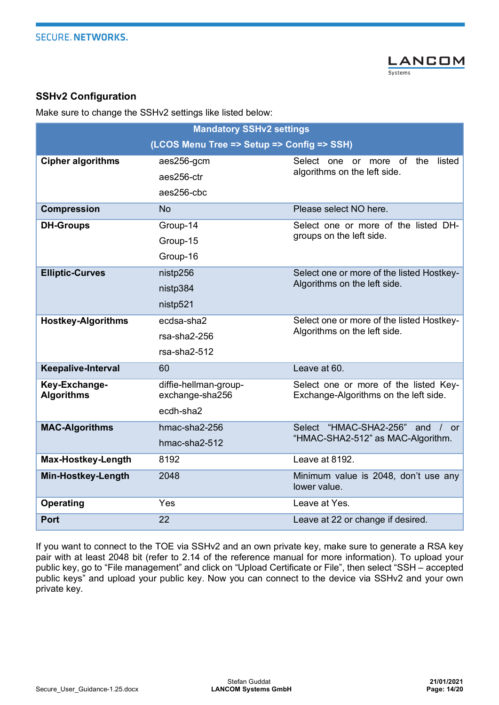

## **SSHv2 Configuration**

Make sure to change the SSHv2 settings like listed below:

| <b>Mandatory SSHv2 settings</b>            |                                          |                                                                                |
|--------------------------------------------|------------------------------------------|--------------------------------------------------------------------------------|
| (LCOS Menu Tree => Setup => Config => SSH) |                                          |                                                                                |
| <b>Cipher algorithms</b>                   | aes256-gcm                               | Select one<br>more of<br>the<br>listed<br><b>or</b>                            |
|                                            | aes256-ctr                               | algorithms on the left side.                                                   |
|                                            | aes256-cbc                               |                                                                                |
| <b>Compression</b>                         | <b>No</b>                                | Please select NO here.                                                         |
| <b>DH-Groups</b>                           | Group-14                                 | Select one or more of the listed DH-                                           |
|                                            | Group-15                                 | groups on the left side.                                                       |
|                                            | Group-16                                 |                                                                                |
| <b>Elliptic-Curves</b>                     | nistp256                                 | Select one or more of the listed Hostkey-                                      |
|                                            | nistp384                                 | Algorithms on the left side.                                                   |
|                                            | nistp521                                 |                                                                                |
| <b>Hostkey-Algorithms</b>                  | ecdsa-sha2                               | Select one or more of the listed Hostkey-                                      |
|                                            | rsa-sha2-256                             | Algorithms on the left side.                                                   |
|                                            | rsa-sha2-512                             |                                                                                |
| <b>Keepalive-Interval</b>                  | 60                                       | Leave at 60.                                                                   |
| Key-Exchange-<br><b>Algorithms</b>         | diffie-hellman-group-<br>exchange-sha256 | Select one or more of the listed Key-<br>Exchange-Algorithms on the left side. |
|                                            | ecdh-sha2                                |                                                                                |
| <b>MAC-Algorithms</b>                      | hmac-sha2-256                            | "HMAC-SHA2-256"<br>Select<br>and<br><b>or</b>                                  |
|                                            | hmac-sha2-512                            | "HMAC-SHA2-512" as MAC-Algorithm.                                              |
| Max-Hostkey-Length                         | 8192                                     | Leave at 8192.                                                                 |
| <b>Min-Hostkey-Length</b>                  | 2048                                     | Minimum value is 2048, don't use any<br>lower value.                           |
| <b>Operating</b>                           | Yes                                      | Leave at Yes.                                                                  |
| <b>Port</b>                                | 22                                       | Leave at 22 or change if desired.                                              |

If you want to connect to the TOE via SSHv2 and an own private key, make sure to generate a RSA key pair with at least 2048 bit (refer to 2.14 of the reference manual for more information). To upload your public key, go to "File management" and click on "Upload Certificate or File", then select "SSH – accepted public keys" and upload your public key. Now you can connect to the device via SSHv2 and your own private key.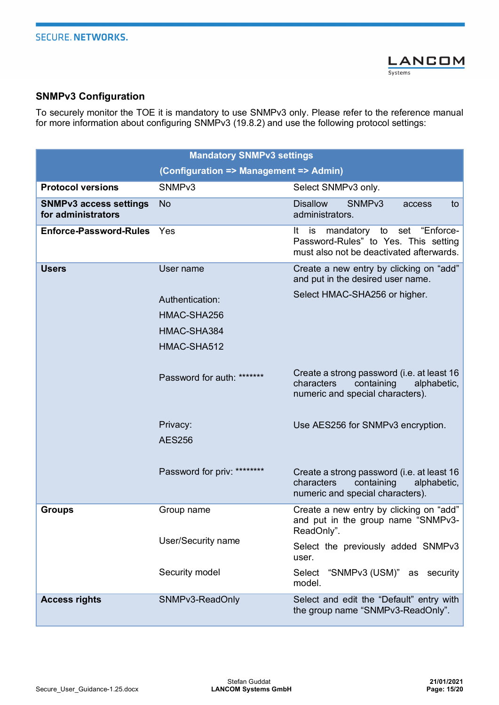

## **SNMPv3 Configuration**

To securely monitor the TOE it is mandatory to use SNMPv3 only. Please refer to the reference manual for more information about configuring SNMPv3 (19.8.2) and use the following protocol settings:

| <b>Mandatory SNMPv3 settings</b>                    |                                        |                                                                                                                            |
|-----------------------------------------------------|----------------------------------------|----------------------------------------------------------------------------------------------------------------------------|
|                                                     | (Configuration => Management => Admin) |                                                                                                                            |
| <b>Protocol versions</b>                            | SNMP <sub>v3</sub>                     | Select SNMPv3 only.                                                                                                        |
| <b>SNMPv3 access settings</b><br>for administrators | <b>No</b>                              | <b>Disallow</b><br>SNMP <sub>v3</sub><br>to<br>access<br>administrators.                                                   |
| <b>Enforce-Password-Rules</b>                       | Yes                                    | mandatory to set "Enforce-<br>It<br>is<br>Password-Rules" to Yes. This setting<br>must also not be deactivated afterwards. |
| <b>Users</b>                                        | User name                              | Create a new entry by clicking on "add"<br>and put in the desired user name.                                               |
|                                                     | Authentication:                        | Select HMAC-SHA256 or higher.                                                                                              |
|                                                     | HMAC-SHA256                            |                                                                                                                            |
|                                                     | HMAC-SHA384                            |                                                                                                                            |
|                                                     | HMAC-SHA512                            |                                                                                                                            |
|                                                     | Password for auth: *******             | Create a strong password (i.e. at least 16<br>characters<br>containing<br>alphabetic,<br>numeric and special characters).  |
|                                                     | Privacy:<br><b>AES256</b>              | Use AES256 for SNMPv3 encryption.                                                                                          |
|                                                     | Password for priv: ********            | Create a strong password (i.e. at least 16<br>characters<br>containing<br>alphabetic,<br>numeric and special characters).  |
| <b>Groups</b>                                       | Group name                             | Create a new entry by clicking on "add"<br>and put in the group name "SNMPv3-<br>ReadOnly".                                |
|                                                     | User/Security name                     | Select the previously added SNMPv3<br>user.                                                                                |
|                                                     | Security model                         | "SNMPv3 (USM)" as security<br>Select<br>model.                                                                             |
| <b>Access rights</b>                                | SNMPv3-ReadOnly                        | Select and edit the "Default" entry with<br>the group name "SNMPv3-ReadOnly".                                              |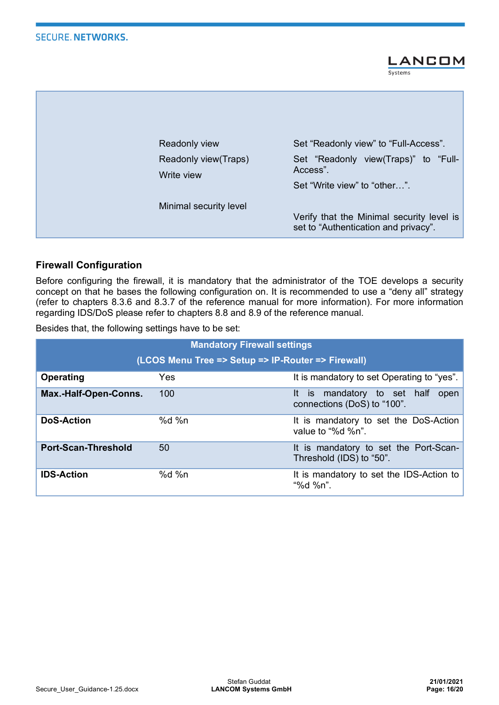**LANCOM** Systems

| Readonly view                      | Set "Readonly view" to "Full-Access".                                             |
|------------------------------------|-----------------------------------------------------------------------------------|
| Readonly view(Traps)<br>Write view | Set "Readonly view(Traps)" to "Full-<br>Access".<br>Set "Write view" to "other".  |
| Minimal security level             | Verify that the Minimal security level is<br>set to "Authentication and privacy". |

## **Firewall Configuration**

Before configuring the firewall, it is mandatory that the administrator of the TOE develops a security concept on that he bases the following configuration on. It is recommended to use a "deny all" strategy (refer to chapters 8.3.6 and 8.3.7 of the reference manual for more information). For more information regarding IDS/DoS please refer to chapters 8.8 and 8.9 of the reference manual.

Besides that, the following settings have to be set:

| <b>Mandatory Firewall settings</b>                 |          |                                                                    |  |
|----------------------------------------------------|----------|--------------------------------------------------------------------|--|
| (LCOS Menu Tree => Setup => IP-Router => Firewall) |          |                                                                    |  |
| Operating                                          | Yes      | It is mandatory to set Operating to "yes".                         |  |
| Max.-Half-Open-Conns.                              | 100      | It is mandatory to set half<br>open<br>connections (DoS) to "100". |  |
| <b>DoS-Action</b>                                  | % $d$ %n | It is mandatory to set the DoS-Action<br>value to "%d %n".         |  |
| <b>Port-Scan-Threshold</b>                         | 50       | It is mandatory to set the Port-Scan-<br>Threshold (IDS) to "50".  |  |
| <b>IDS-Action</b>                                  | % $d$ %n | It is mandatory to set the IDS-Action to<br>"%d %n".               |  |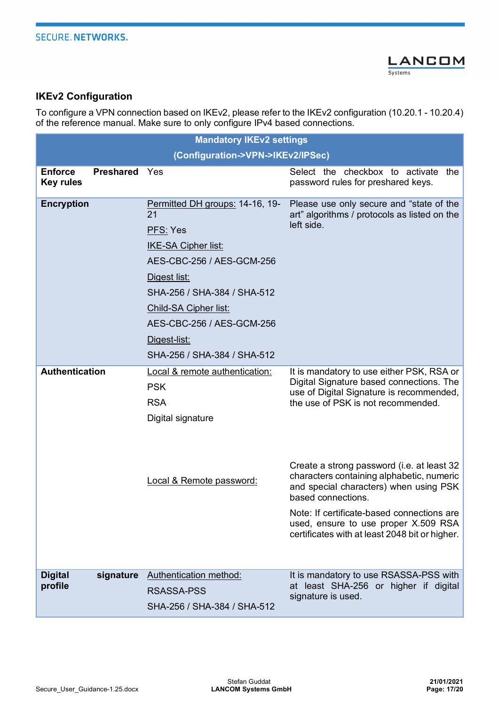

## **IKEv2 Configuration**

To configure a VPN connection based on IKEv2, please refer to the IKEv2 configuration (10.20.1 - 10.20.4) of the reference manual. Make sure to only configure IPv4 based connections.

|                                    | <b>Mandatory IKEv2 settings</b> |                                                                                                                                                                                                                                                                  |                                                                                                                                                                                                                                                                                                                                                                                                                                                                            |
|------------------------------------|---------------------------------|------------------------------------------------------------------------------------------------------------------------------------------------------------------------------------------------------------------------------------------------------------------|----------------------------------------------------------------------------------------------------------------------------------------------------------------------------------------------------------------------------------------------------------------------------------------------------------------------------------------------------------------------------------------------------------------------------------------------------------------------------|
|                                    |                                 | (Configuration->VPN->IKEv2/IPSec)                                                                                                                                                                                                                                |                                                                                                                                                                                                                                                                                                                                                                                                                                                                            |
| <b>Enforce</b><br><b>Key rules</b> | <b>Preshared</b>                | Yes                                                                                                                                                                                                                                                              | Select the checkbox to activate<br>the<br>password rules for preshared keys.                                                                                                                                                                                                                                                                                                                                                                                               |
| <b>Encryption</b>                  |                                 | Permitted DH groups: 14-16, 19-<br>21<br>PFS: Yes<br><b>IKE-SA Cipher list:</b><br>AES-CBC-256 / AES-GCM-256<br>Digest list:<br>SHA-256 / SHA-384 / SHA-512<br>Child-SA Cipher list:<br>AES-CBC-256 / AES-GCM-256<br>Digest-list:<br>SHA-256 / SHA-384 / SHA-512 | Please use only secure and "state of the<br>art" algorithms / protocols as listed on the<br>left side.                                                                                                                                                                                                                                                                                                                                                                     |
| <b>Authentication</b>              |                                 | Local & remote authentication:<br><b>PSK</b><br><b>RSA</b><br>Digital signature<br>Local & Remote password:                                                                                                                                                      | It is mandatory to use either PSK, RSA or<br>Digital Signature based connections. The<br>use of Digital Signature is recommended,<br>the use of PSK is not recommended.<br>Create a strong password (i.e. at least 32<br>characters containing alphabetic, numeric<br>and special characters) when using PSK<br>based connections.<br>Note: If certificate-based connections are<br>used, ensure to use proper X.509 RSA<br>certificates with at least 2048 bit or higher. |
| <b>Digital</b><br>profile          | signature                       | Authentication method:<br><b>RSASSA-PSS</b><br>SHA-256 / SHA-384 / SHA-512                                                                                                                                                                                       | It is mandatory to use RSASSA-PSS with<br>at least SHA-256 or higher if digital<br>signature is used.                                                                                                                                                                                                                                                                                                                                                                      |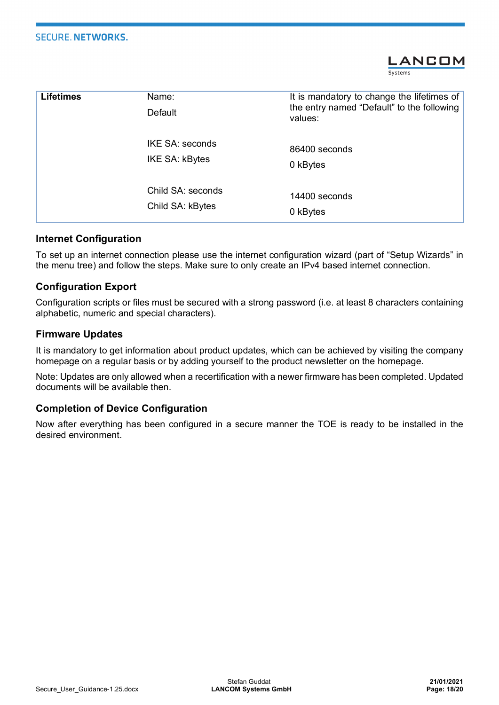#### **SECURE, NETWORKS.**



| <b>Lifetimes</b> | Name:<br>Default                      | It is mandatory to change the lifetimes of<br>the entry named "Default" to the following<br>values: |
|------------------|---------------------------------------|-----------------------------------------------------------------------------------------------------|
|                  | IKE SA: seconds<br>IKE SA: kBytes     | 86400 seconds<br>0 kBytes                                                                           |
|                  | Child SA: seconds<br>Child SA: kBytes | 14400 seconds<br>0 kBytes                                                                           |

#### **Internet Configuration**

To set up an internet connection please use the internet configuration wizard (part of "Setup Wizards" in the menu tree) and follow the steps. Make sure to only create an IPv4 based internet connection.

#### **Configuration Export**

Configuration scripts or files must be secured with a strong password (i.e. at least 8 characters containing alphabetic, numeric and special characters).

#### **Firmware Updates**

It is mandatory to get information about product updates, which can be achieved by visiting the company homepage on a regular basis or by adding yourself to the product newsletter on the homepage.

Note: Updates are only allowed when a recertification with a newer firmware has been completed. Updated documents will be available then.

#### **Completion of Device Configuration**

Now after everything has been configured in a secure manner the TOE is ready to be installed in the desired environment.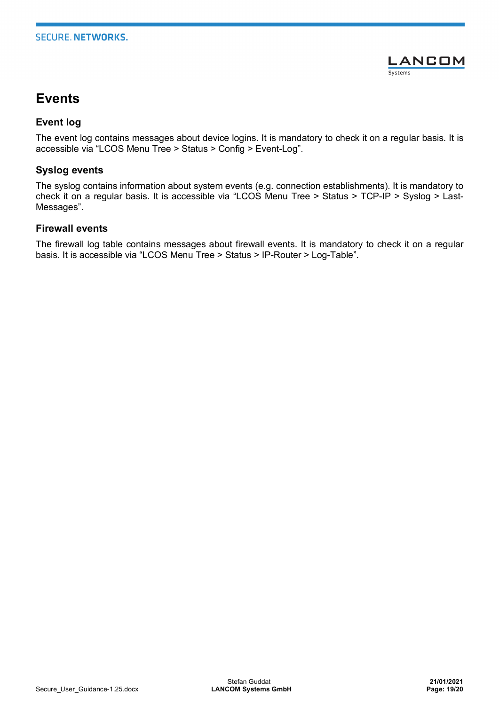

# **Events**

#### **Event log**

The event log contains messages about device logins. It is mandatory to check it on a regular basis. It is accessible via "LCOS Menu Tree > Status > Config > Event-Log".

#### **Syslog events**

The syslog contains information about system events (e.g. connection establishments). It is mandatory to check it on a regular basis. It is accessible via "LCOS Menu Tree > Status > TCP-IP > Syslog > Last-Messages".

#### **Firewall events**

The firewall log table contains messages about firewall events. It is mandatory to check it on a regular basis. It is accessible via "LCOS Menu Tree > Status > IP-Router > Log-Table".